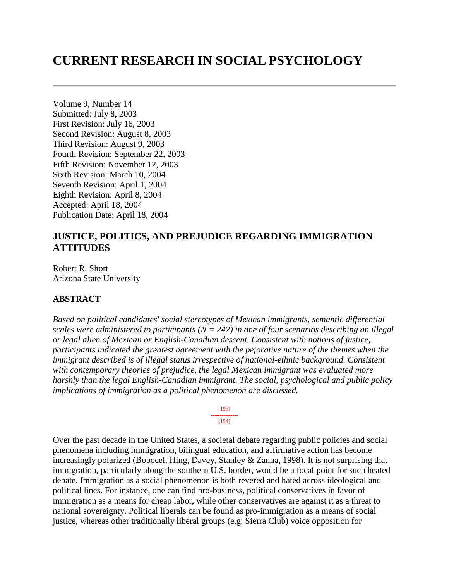# **CURRENT RESEARCH IN SOCIAL PSYCHOLOGY**

Volume 9, Number 14 Submitted: July 8, 2003 First Revision: July 16, 2003 Second Revision: August 8, 2003 Third Revision: August 9, 2003 Fourth Revision: September 22, 2003 Fifth Revision: November 12, 2003 Sixth Revision: March 10, 2004 Seventh Revision: April 1, 2004 Eighth Revision: April 8, 2004 Accepted: April 18, 2004 Publication Date: April 18, 2004

### **JUSTICE, POLITICS, AND PREJUDICE REGARDING IMMIGRATION ATTITUDES**

Robert R. Short Arizona State University

### **ABSTRACT**

*Based on political candidates' social stereotypes of Mexican immigrants, semantic differential scales were administered to participants (N = 242) in one of four scenarios describing an illegal or legal alien of Mexican or English-Canadian descent. Consistent with notions of justice, participants indicated the greatest agreement with the pejorative nature of the themes when the immigrant described is of illegal status irrespective of national-ethnic background. Consistent with contemporary theories of prejudice, the legal Mexican immigrant was evaluated more harshly than the legal English-Canadian immigrant. The social, psychological and public policy implications of immigration as a political phenomenon are discussed.*

> [193] --------------- [194]

Over the past decade in the United States, a societal debate regarding public policies and social phenomena including immigration, bilingual education, and affirmative action has become increasingly polarized (Bobocel, Hing, Davey, Stanley & Zanna, 1998). It is not surprising that immigration, particularly along the southern U.S. border, would be a focal point for such heated debate. Immigration as a social phenomenon is both revered and hated across ideological and political lines. For instance, one can find pro-business, political conservatives in favor of immigration as a means for cheap labor, while other conservatives are against it as a threat to national sovereignty. Political liberals can be found as pro-immigration as a means of social justice, whereas other traditionally liberal groups (e.g. Sierra Club) voice opposition for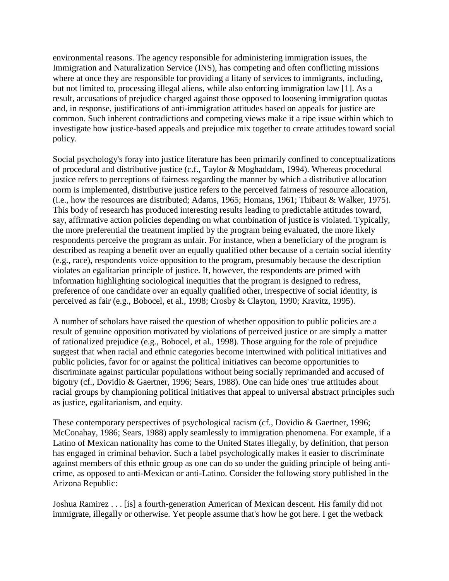environmental reasons. The agency responsible for administering immigration issues, the Immigration and Naturalization Service (INS), has competing and often conflicting missions where at once they are responsible for providing a litany of services to immigrants, including, but not limited to, processing illegal aliens, while also enforcing immigration law [1]. As a result, accusations of prejudice charged against those opposed to loosening immigration quotas and, in response, justifications of anti-immigration attitudes based on appeals for justice are common. Such inherent contradictions and competing views make it a ripe issue within which to investigate how justice-based appeals and prejudice mix together to create attitudes toward social policy.

Social psychology's foray into justice literature has been primarily confined to conceptualizations of procedural and distributive justice (c.f., Taylor & Moghaddam, 1994). Whereas procedural justice refers to perceptions of fairness regarding the manner by which a distributive allocation norm is implemented, distributive justice refers to the perceived fairness of resource allocation, (i.e., how the resources are distributed; Adams, 1965; Homans, 1961; Thibaut & Walker, 1975). This body of research has produced interesting results leading to predictable attitudes toward, say, affirmative action policies depending on what combination of justice is violated. Typically, the more preferential the treatment implied by the program being evaluated, the more likely respondents perceive the program as unfair. For instance, when a beneficiary of the program is described as reaping a benefit over an equally qualified other because of a certain social identity (e.g., race), respondents voice opposition to the program, presumably because the description violates an egalitarian principle of justice. If, however, the respondents are primed with information highlighting sociological inequities that the program is designed to redress, preference of one candidate over an equally qualified other, irrespective of social identity, is perceived as fair (e.g., Bobocel, et al., 1998; Crosby & Clayton, 1990; Kravitz, 1995).

A number of scholars have raised the question of whether opposition to public policies are a result of genuine opposition motivated by violations of perceived justice or are simply a matter of rationalized prejudice (e.g., Bobocel, et al., 1998). Those arguing for the role of prejudice suggest that when racial and ethnic categories become intertwined with political initiatives and public policies, favor for or against the political initiatives can become opportunities to discriminate against particular populations without being socially reprimanded and accused of bigotry (cf., Dovidio & Gaertner, 1996; Sears, 1988). One can hide ones' true attitudes about racial groups by championing political initiatives that appeal to universal abstract principles such as justice, egalitarianism, and equity.

These contemporary perspectives of psychological racism (cf., Dovidio & Gaertner, 1996; McConahay, 1986; Sears, 1988) apply seamlessly to immigration phenomena. For example, if a Latino of Mexican nationality has come to the United States illegally, by definition, that person has engaged in criminal behavior. Such a label psychologically makes it easier to discriminate against members of this ethnic group as one can do so under the guiding principle of being anticrime, as opposed to anti-Mexican or anti-Latino. Consider the following story published in the Arizona Republic:

Joshua Ramirez . . . [is] a fourth-generation American of Mexican descent. His family did not immigrate, illegally or otherwise. Yet people assume that's how he got here. I get the wetback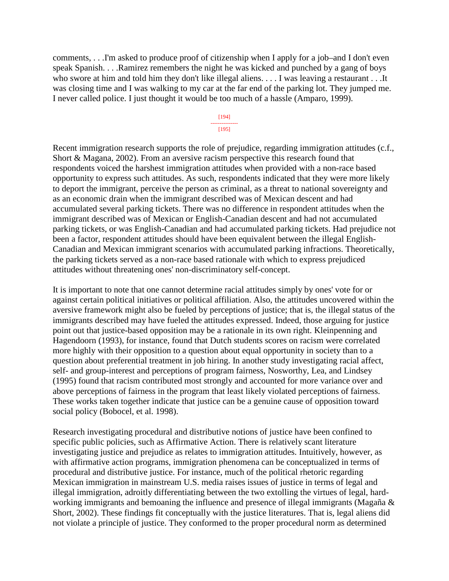comments, . . .I'm asked to produce proof of citizenship when I apply for a job–and I don't even speak Spanish. . . .Ramirez remembers the night he was kicked and punched by a gang of boys who swore at him and told him they don't like illegal aliens. . . . I was leaving a restaurant . . . It was closing time and I was walking to my car at the far end of the parking lot. They jumped me. I never called police. I just thought it would be too much of a hassle (Amparo, 1999).

#### [194] --------------- [195]

Recent immigration research supports the role of prejudice, regarding immigration attitudes (c.f., Short & Magana, 2002). From an aversive racism perspective this research found that respondents voiced the harshest immigration attitudes when provided with a non-race based opportunity to express such attitudes. As such, respondents indicated that they were more likely to deport the immigrant, perceive the person as criminal, as a threat to national sovereignty and as an economic drain when the immigrant described was of Mexican descent and had accumulated several parking tickets. There was no difference in respondent attitudes when the immigrant described was of Mexican or English-Canadian descent and had not accumulated parking tickets, or was English-Canadian and had accumulated parking tickets. Had prejudice not been a factor, respondent attitudes should have been equivalent between the illegal English-Canadian and Mexican immigrant scenarios with accumulated parking infractions. Theoretically, the parking tickets served as a non-race based rationale with which to express prejudiced attitudes without threatening ones' non-discriminatory self-concept.

It is important to note that one cannot determine racial attitudes simply by ones' vote for or against certain political initiatives or political affiliation. Also, the attitudes uncovered within the aversive framework might also be fueled by perceptions of justice; that is, the illegal status of the immigrants described may have fueled the attitudes expressed. Indeed, those arguing for justice point out that justice-based opposition may be a rationale in its own right. Kleinpenning and Hagendoorn (1993), for instance, found that Dutch students scores on racism were correlated more highly with their opposition to a question about equal opportunity in society than to a question about preferential treatment in job hiring. In another study investigating racial affect, self- and group-interest and perceptions of program fairness, Nosworthy, Lea, and Lindsey (1995) found that racism contributed most strongly and accounted for more variance over and above perceptions of fairness in the program that least likely violated perceptions of fairness. These works taken together indicate that justice can be a genuine cause of opposition toward social policy (Bobocel, et al. 1998).

Research investigating procedural and distributive notions of justice have been confined to specific public policies, such as Affirmative Action. There is relatively scant literature investigating justice and prejudice as relates to immigration attitudes. Intuitively, however, as with affirmative action programs, immigration phenomena can be conceptualized in terms of procedural and distributive justice. For instance, much of the political rhetoric regarding Mexican immigration in mainstream U.S. media raises issues of justice in terms of legal and illegal immigration, adroitly differentiating between the two extolling the virtues of legal, hardworking immigrants and bemoaning the influence and presence of illegal immigrants (Magaña & Short, 2002). These findings fit conceptually with the justice literatures. That is, legal aliens did not violate a principle of justice. They conformed to the proper procedural norm as determined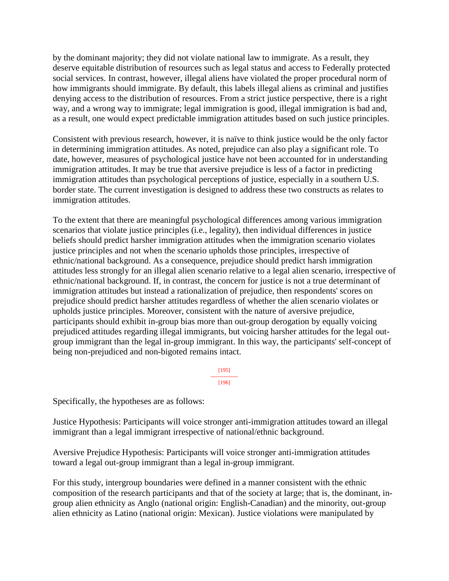by the dominant majority; they did not violate national law to immigrate. As a result, they deserve equitable distribution of resources such as legal status and access to Federally protected social services. In contrast, however, illegal aliens have violated the proper procedural norm of how immigrants should immigrate. By default, this labels illegal aliens as criminal and justifies denying access to the distribution of resources. From a strict justice perspective, there is a right way, and a wrong way to immigrate; legal immigration is good, illegal immigration is bad and, as a result, one would expect predictable immigration attitudes based on such justice principles.

Consistent with previous research, however, it is naïve to think justice would be the only factor in determining immigration attitudes. As noted, prejudice can also play a significant role. To date, however, measures of psychological justice have not been accounted for in understanding immigration attitudes. It may be true that aversive prejudice is less of a factor in predicting immigration attitudes than psychological perceptions of justice, especially in a southern U.S. border state. The current investigation is designed to address these two constructs as relates to immigration attitudes.

To the extent that there are meaningful psychological differences among various immigration scenarios that violate justice principles (i.e., legality), then individual differences in justice beliefs should predict harsher immigration attitudes when the immigration scenario violates justice principles and not when the scenario upholds those principles, irrespective of ethnic/national background. As a consequence, prejudice should predict harsh immigration attitudes less strongly for an illegal alien scenario relative to a legal alien scenario, irrespective of ethnic/national background. If, in contrast, the concern for justice is not a true determinant of immigration attitudes but instead a rationalization of prejudice, then respondents' scores on prejudice should predict harsher attitudes regardless of whether the alien scenario violates or upholds justice principles. Moreover, consistent with the nature of aversive prejudice, participants should exhibit in-group bias more than out-group derogation by equally voicing prejudiced attitudes regarding illegal immigrants, but voicing harsher attitudes for the legal outgroup immigrant than the legal in-group immigrant. In this way, the participants' self-concept of being non-prejudiced and non-bigoted remains intact.

> [195] --------------- [196]

Specifically, the hypotheses are as follows:

Justice Hypothesis: Participants will voice stronger anti-immigration attitudes toward an illegal immigrant than a legal immigrant irrespective of national/ethnic background.

Aversive Prejudice Hypothesis: Participants will voice stronger anti-immigration attitudes toward a legal out-group immigrant than a legal in-group immigrant.

For this study, intergroup boundaries were defined in a manner consistent with the ethnic composition of the research participants and that of the society at large; that is, the dominant, ingroup alien ethnicity as Anglo (national origin: English-Canadian) and the minority, out-group alien ethnicity as Latino (national origin: Mexican). Justice violations were manipulated by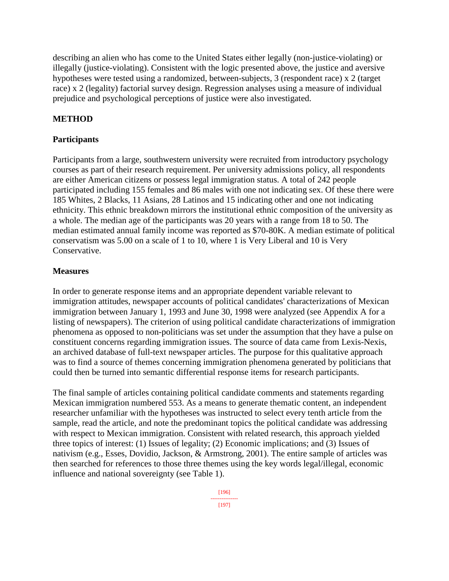describing an alien who has come to the United States either legally (non-justice-violating) or illegally (justice-violating). Consistent with the logic presented above, the justice and aversive hypotheses were tested using a randomized, between-subjects, 3 (respondent race) x 2 (target race) x 2 (legality) factorial survey design. Regression analyses using a measure of individual prejudice and psychological perceptions of justice were also investigated.

### **METHOD**

### **Participants**

Participants from a large, southwestern university were recruited from introductory psychology courses as part of their research requirement. Per university admissions policy, all respondents are either American citizens or possess legal immigration status. A total of 242 people participated including 155 females and 86 males with one not indicating sex. Of these there were 185 Whites, 2 Blacks, 11 Asians, 28 Latinos and 15 indicating other and one not indicating ethnicity. This ethnic breakdown mirrors the institutional ethnic composition of the university as a whole. The median age of the participants was 20 years with a range from 18 to 50. The median estimated annual family income was reported as \$70-80K. A median estimate of political conservatism was 5.00 on a scale of 1 to 10, where 1 is Very Liberal and 10 is Very Conservative.

### **Measures**

In order to generate response items and an appropriate dependent variable relevant to immigration attitudes, newspaper accounts of political candidates' characterizations of Mexican immigration between January 1, 1993 and June 30, 1998 were analyzed (see Appendix A for a listing of newspapers). The criterion of using political candidate characterizations of immigration phenomena as opposed to non-politicians was set under the assumption that they have a pulse on constituent concerns regarding immigration issues. The source of data came from Lexis-Nexis, an archived database of full-text newspaper articles. The purpose for this qualitative approach was to find a source of themes concerning immigration phenomena generated by politicians that could then be turned into semantic differential response items for research participants.

The final sample of articles containing political candidate comments and statements regarding Mexican immigration numbered 553. As a means to generate thematic content, an independent researcher unfamiliar with the hypotheses was instructed to select every tenth article from the sample, read the article, and note the predominant topics the political candidate was addressing with respect to Mexican immigration. Consistent with related research, this approach yielded three topics of interest: (1) Issues of legality; (2) Economic implications; and (3) Issues of nativism (e.g., Esses, Dovidio, Jackson, & Armstrong, 2001). The entire sample of articles was then searched for references to those three themes using the key words legal/illegal, economic influence and national sovereignty (see Table 1).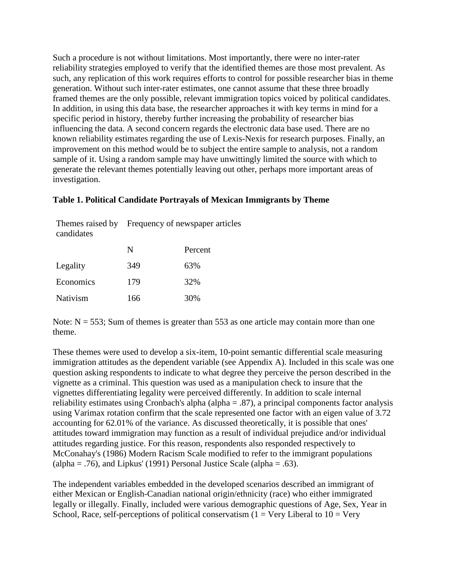Such a procedure is not without limitations. Most importantly, there were no inter-rater reliability strategies employed to verify that the identified themes are those most prevalent. As such, any replication of this work requires efforts to control for possible researcher bias in theme generation. Without such inter-rater estimates, one cannot assume that these three broadly framed themes are the only possible, relevant immigration topics voiced by political candidates. In addition, in using this data base, the researcher approaches it with key terms in mind for a specific period in history, thereby further increasing the probability of researcher bias influencing the data. A second concern regards the electronic data base used. There are no known reliability estimates regarding the use of Lexis-Nexis for research purposes. Finally, an improvement on this method would be to subject the entire sample to analysis, not a random sample of it. Using a random sample may have unwittingly limited the source with which to generate the relevant themes potentially leaving out other, perhaps more important areas of investigation.

### **Table 1. Political Candidate Portrayals of Mexican Immigrants by Theme**

| candidates | Themes raised by Frequency of newspaper articles |         |  |  |  |
|------------|--------------------------------------------------|---------|--|--|--|
|            | N                                                | Percent |  |  |  |
| Legality   | 349                                              | 63%     |  |  |  |
| Economics  | 179                                              | 32%     |  |  |  |
| Nativism   | 166                                              | 30%     |  |  |  |

Note:  $N = 553$ ; Sum of themes is greater than 553 as one article may contain more than one theme.

These themes were used to develop a six-item, 10-point semantic differential scale measuring immigration attitudes as the dependent variable (see Appendix A). Included in this scale was one question asking respondents to indicate to what degree they perceive the person described in the vignette as a criminal. This question was used as a manipulation check to insure that the vignettes differentiating legality were perceived differently. In addition to scale internal reliability estimates using Cronbach's alpha (alpha = .87), a principal components factor analysis using Varimax rotation confirm that the scale represented one factor with an eigen value of 3.72 accounting for 62.01% of the variance. As discussed theoretically, it is possible that ones' attitudes toward immigration may function as a result of individual prejudice and/or individual attitudes regarding justice. For this reason, respondents also responded respectively to McConahay's (1986) Modern Racism Scale modified to refer to the immigrant populations (alpha = .76), and Lipkus' (1991) Personal Justice Scale (alpha = .63).

The independent variables embedded in the developed scenarios described an immigrant of either Mexican or English-Canadian national origin/ethnicity (race) who either immigrated legally or illegally. Finally, included were various demographic questions of Age, Sex, Year in School, Race, self-perceptions of political conservatism ( $1 = \text{Very Liberal to } 10 = \text{Very}$ )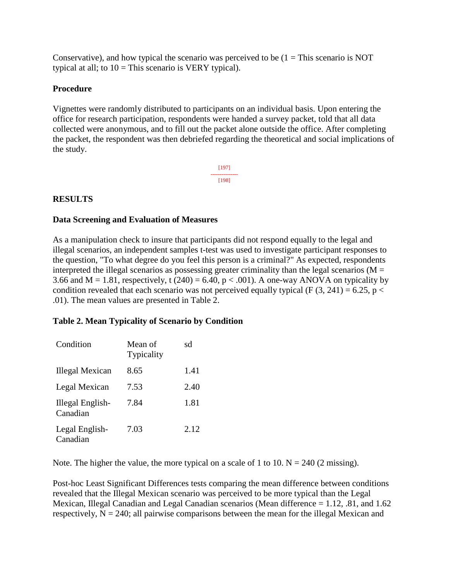Conservative), and how typical the scenario was perceived to be  $(1 = This scenario is NOT)$ typical at all; to  $10 =$ This scenario is VERY typical).

### **Procedure**

Vignettes were randomly distributed to participants on an individual basis. Upon entering the office for research participation, respondents were handed a survey packet, told that all data collected were anonymous, and to fill out the packet alone outside the office. After completing the packet, the respondent was then debriefed regarding the theoretical and social implications of the study.

> [197] --------------- [198]

### **RESULTS**

### **Data Screening and Evaluation of Measures**

As a manipulation check to insure that participants did not respond equally to the legal and illegal scenarios, an independent samples t-test was used to investigate participant responses to the question, "To what degree do you feel this person is a criminal?" As expected, respondents interpreted the illegal scenarios as possessing greater criminality than the legal scenarios ( $M =$ 3.66 and  $M = 1.81$ , respectively, t (240) = 6.40, p < .001). A one-way ANOVA on typicality by condition revealed that each scenario was not perceived equally typical (F  $(3, 241) = 6.25$ , p < .01). The mean values are presented in Table 2.

### **Table 2. Mean Typicality of Scenario by Condition**

| Condition                    | Mean of<br>Typicality | sd   |
|------------------------------|-----------------------|------|
| Illegal Mexican              | 8.65                  | 1.41 |
| Legal Mexican                | 7.53                  | 2.40 |
| Illegal English-<br>Canadian | 7.84                  | 1.81 |
| Legal English-<br>Canadian   | 7.03                  | 2.12 |

Note. The higher the value, the more typical on a scale of 1 to 10.  $N = 240$  (2 missing).

Post-hoc Least Significant Differences tests comparing the mean difference between conditions revealed that the Illegal Mexican scenario was perceived to be more typical than the Legal Mexican, Illegal Canadian and Legal Canadian scenarios (Mean difference = 1.12, .81, and 1.62 respectively,  $N = 240$ ; all pairwise comparisons between the mean for the illegal Mexican and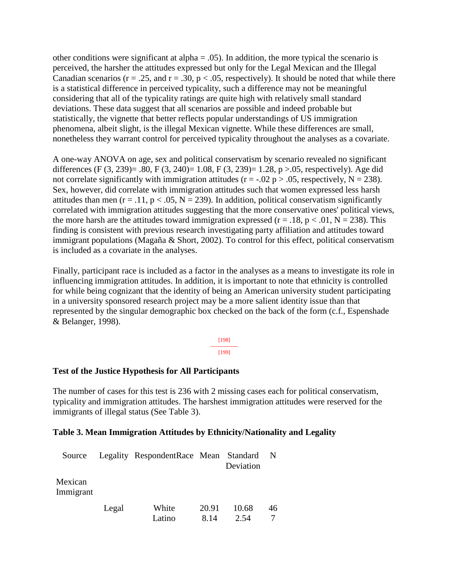other conditions were significant at alpha  $= .05$ ). In addition, the more typical the scenario is perceived, the harsher the attitudes expressed but only for the Legal Mexican and the Illegal Canadian scenarios ( $r = .25$ , and  $r = .30$ ,  $p < .05$ , respectively). It should be noted that while there is a statistical difference in perceived typicality, such a difference may not be meaningful considering that all of the typicality ratings are quite high with relatively small standard deviations. These data suggest that all scenarios are possible and indeed probable but statistically, the vignette that better reflects popular understandings of US immigration phenomena, albeit slight, is the illegal Mexican vignette. While these differences are small, nonetheless they warrant control for perceived typicality throughout the analyses as a covariate.

A one-way ANOVA on age, sex and political conservatism by scenario revealed no significant differences (F (3, 239)= .80, F (3, 240)= 1.08, F (3, 239)= 1.28, p >.05, respectively). Age did not correlate significantly with immigration attitudes ( $r = -0.02$  p > .05, respectively, N = 238). Sex, however, did correlate with immigration attitudes such that women expressed less harsh attitudes than men ( $r = .11$ ,  $p < .05$ ,  $N = 239$ ). In addition, political conservatism significantly correlated with immigration attitudes suggesting that the more conservative ones' political views, the more harsh are the attitudes toward immigration expressed ( $r = .18$ ,  $p < .01$ ,  $N = 238$ ). This finding is consistent with previous research investigating party affiliation and attitudes toward immigrant populations (Magaña & Short, 2002). To control for this effect, political conservatism is included as a covariate in the analyses.

Finally, participant race is included as a factor in the analyses as a means to investigate its role in influencing immigration attitudes. In addition, it is important to note that ethnicity is controlled for while being cognizant that the identity of being an American university student participating in a university sponsored research project may be a more salient identity issue than that represented by the singular demographic box checked on the back of the form (c.f., Espenshade & Belanger, 1998).

#### [198] --------------- [199]

### **Test of the Justice Hypothesis for All Participants**

The number of cases for this test is 236 with 2 missing cases each for political conservatism, typicality and immigration attitudes. The harshest immigration attitudes were reserved for the immigrants of illegal status (See Table 3).

### **Table 3. Mean Immigration Attitudes by Ethnicity/Nationality and Legality**

| Source               |       | Legality RespondentRace Mean Standard |       |           |    |  |
|----------------------|-------|---------------------------------------|-------|-----------|----|--|
|                      |       |                                       |       | Deviation |    |  |
| Mexican<br>Immigrant |       |                                       |       |           |    |  |
|                      | Legal | White                                 | 20.91 | 10.68     | 46 |  |
|                      |       | Latino                                | 8.14  | 2.54      |    |  |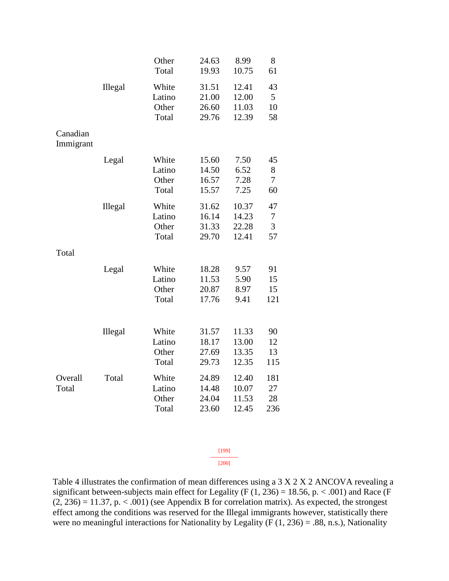|           |         | Other  | 24.63 | 8.99  | 8              |
|-----------|---------|--------|-------|-------|----------------|
|           |         | Total  | 19.93 | 10.75 | 61             |
|           | Illegal | White  | 31.51 | 12.41 | 43             |
|           |         | Latino | 21.00 | 12.00 | 5              |
|           |         | Other  | 26.60 | 11.03 | 10             |
|           |         | Total  | 29.76 | 12.39 | 58             |
| Canadian  |         |        |       |       |                |
| Immigrant |         |        |       |       |                |
|           | Legal   | White  | 15.60 | 7.50  | 45             |
|           |         | Latino | 14.50 | 6.52  | 8              |
|           |         | Other  | 16.57 | 7.28  | $\overline{7}$ |
|           |         | Total  | 15.57 | 7.25  | 60             |
|           | Illegal | White  | 31.62 | 10.37 | 47             |
|           |         | Latino | 16.14 | 14.23 | 7              |
|           |         | Other  | 31.33 | 22.28 | 3              |
|           |         | Total  | 29.70 | 12.41 | 57             |
| Total     |         |        |       |       |                |
|           | Legal   | White  | 18.28 | 9.57  | 91             |
|           |         | Latino | 11.53 | 5.90  | 15             |
|           |         | Other  | 20.87 | 8.97  | 15             |
|           |         | Total  | 17.76 | 9.41  | 121            |
|           |         |        |       |       |                |
|           | Illegal | White  | 31.57 | 11.33 | 90             |
|           |         | Latino | 18.17 | 13.00 | 12             |
|           |         | Other  | 27.69 | 13.35 | 13             |
|           |         | Total  | 29.73 | 12.35 | 115            |
| Overall   | Total   | White  | 24.89 | 12.40 | 181            |
| Total     |         | Latino | 14.48 | 10.07 | 27             |
|           |         | Other  | 24.04 | 11.53 | 28             |
|           |         | Total  | 23.60 | 12.45 | 236            |

#### [199] ---------------

[200]

Table 4 illustrates the confirmation of mean differences using a 3 X 2 X 2 ANCOVA revealing a significant between-subjects main effect for Legality (F  $(1, 236) = 18.56$ , p. < .001) and Race (F  $(2, 236) = 11.37$ , p. < .001) (see Appendix B for correlation matrix). As expected, the strongest effect among the conditions was reserved for the Illegal immigrants however, statistically there were no meaningful interactions for Nationality by Legality ( $F(1, 236) = .88$ , n.s.), Nationality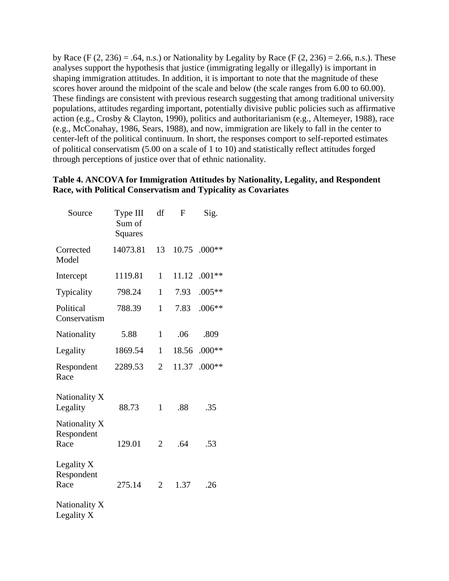by Race (F (2, 236) = .64, n.s.) or Nationality by Legality by Race (F (2, 236) = 2.66, n.s.). These analyses support the hypothesis that justice (immigrating legally or illegally) is important in shaping immigration attitudes. In addition, it is important to note that the magnitude of these scores hover around the midpoint of the scale and below (the scale ranges from 6.00 to 60.00). These findings are consistent with previous research suggesting that among traditional university populations, attitudes regarding important, potentially divisive public policies such as affirmative action (e.g., Crosby & Clayton, 1990), politics and authoritarianism (e.g., Altemeyer, 1988), race (e.g., McConahay, 1986, Sears, 1988), and now, immigration are likely to fall in the center to center-left of the political continuum. In short, the responses comport to self-reported estimates of political conservatism (5.00 on a scale of 1 to 10) and statistically reflect attitudes forged through perceptions of justice over that of ethnic nationality.

### **Table 4. ANCOVA for Immigration Attitudes by Nationality, Legality, and Respondent Race, with Political Conservatism and Typicality as Covariates**

| Source                              | Type III<br>Sum of<br>Squares | df             | F     | Sig.     |
|-------------------------------------|-------------------------------|----------------|-------|----------|
| Corrected<br>Model                  | 14073.81                      | 13             | 10.75 | $.000**$ |
| Intercept                           | 1119.81                       | 1              | 11.12 | $.001**$ |
| Typicality                          | 798.24                        | $\mathbf{1}$   | 7.93  | $.005**$ |
| Political<br>Conservatism           | 788.39                        | 1              | 7.83  | $.006**$ |
| Nationality                         | 5.88                          | 1              | .06   | .809     |
| Legality                            | 1869.54                       | $\mathbf{1}$   | 18.56 | $.000**$ |
| Respondent<br>Race                  | 2289.53                       | $\overline{2}$ | 11.37 | $.000**$ |
| Nationality X<br>Legality           | 88.73                         | 1              | .88   | .35      |
| Nationality X<br>Respondent<br>Race | 129.01                        | 2              | .64   | .53      |
| Legality X<br>Respondent<br>Race    | 275.14                        | $\overline{2}$ | 1.37  | .26      |
| Nationality X<br>Legality X         |                               |                |       |          |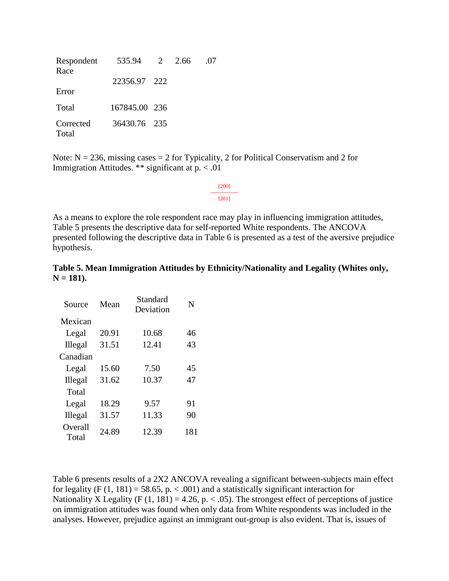| Respondent         | 535.94 2 2.66 |  | .07 |
|--------------------|---------------|--|-----|
| Race               | 22356.97 222  |  |     |
| Error              |               |  |     |
| Total              | 167845.00 236 |  |     |
| Corrected<br>Total | 36430.76 235  |  |     |

Note:  $N = 236$ , missing cases  $= 2$  for Typicality, 2 for Political Conservatism and 2 for Immigration Attitudes. \*\* significant at  $p. < 01$ 

> [200] --------------- [201]

As a means to explore the role respondent race may play in influencing immigration attitudes, Table 5 presents the descriptive data for self-reported White respondents. The ANCOVA presented following the descriptive data in Table 6 is presented as a test of the aversive prejudice hypothesis.

### **Table 5. Mean Immigration Attitudes by Ethnicity/Nationality and Legality (Whites only, N = 181).**

| Source           | Mean  | Standard<br>Deviation | N   |
|------------------|-------|-----------------------|-----|
| Mexican          |       |                       |     |
| Legal            | 20.91 | 10.68                 | 46  |
| Illegal          | 31.51 | 12.41                 | 43  |
| Canadian         |       |                       |     |
| Legal            | 15.60 | 7.50                  | 45  |
| Illegal          | 31.62 | 10.37                 | 47  |
| Total            |       |                       |     |
| Legal            | 18.29 | 9.57                  | 91  |
| Illegal          | 31.57 | 11.33                 | 90  |
| Overall<br>Total | 24.89 | 12.39                 | 181 |

Table 6 presents results of a 2X2 ANCOVA revealing a significant between-subjects main effect for legality (F  $(1, 181) = 58.65$ , p. < .001) and a statistically significant interaction for Nationality X Legality (F  $(1, 181) = 4.26$ , p. < .05). The strongest effect of perceptions of justice on immigration attitudes was found when only data from White respondents was included in the analyses. However, prejudice against an immigrant out-group is also evident. That is, issues of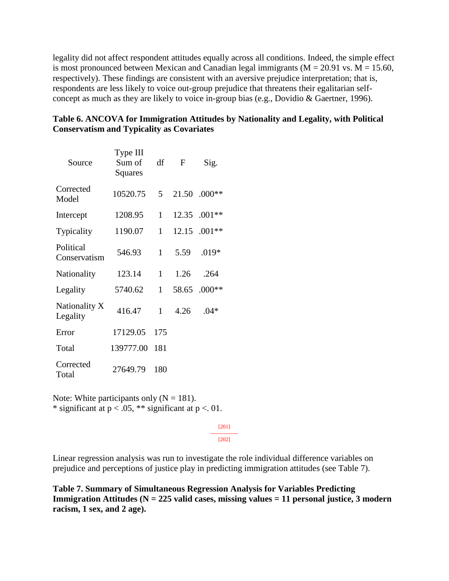legality did not affect respondent attitudes equally across all conditions. Indeed, the simple effect is most pronounced between Mexican and Canadian legal immigrants ( $M = 20.91$  vs.  $M = 15.60$ , respectively). These findings are consistent with an aversive prejudice interpretation; that is, respondents are less likely to voice out-group prejudice that threatens their egalitarian selfconcept as much as they are likely to voice in-group bias (e.g., Dovidio & Gaertner, 1996).

### **Table 6. ANCOVA for Immigration Attitudes by Nationality and Legality, with Political Conservatism and Typicality as Covariates**

| Source                    | Type III<br>Sum of<br>Squares | df  | F     | Sig.     |
|---------------------------|-------------------------------|-----|-------|----------|
| Corrected<br>Model        | 10520.75                      | 5   | 21.50 | $.000**$ |
| Intercept                 | 1208.95                       | 1   | 12.35 | $.001**$ |
| Typicality                | 1190.07                       | 1   | 12.15 | $.001**$ |
| Political<br>Conservatism | 546.93                        | 1   | 5.59  | $.019*$  |
| Nationality               | 123.14                        | 1   | 1.26  | .264     |
| Legality                  | 5740.62                       | 1   | 58.65 | $.000**$ |
| Nationality X<br>Legality | 416.47                        | 1   | 4.26  | $.04*$   |
| Error                     | 17129.05                      | 175 |       |          |
| Total                     | 139777.00                     | 181 |       |          |
| Corrected<br>Total        | 27649.79                      | 180 |       |          |

Note: White participants only  $(N = 181)$ . \* significant at  $p < .05$ , \*\* significant at  $p < .01$ .

> [201] --------------- [202]

Linear regression analysis was run to investigate the role individual difference variables on prejudice and perceptions of justice play in predicting immigration attitudes (see Table 7).

**Table 7. Summary of Simultaneous Regression Analysis for Variables Predicting Immigration Attitudes (N = 225 valid cases, missing values = 11 personal justice, 3 modern racism, 1 sex, and 2 age).**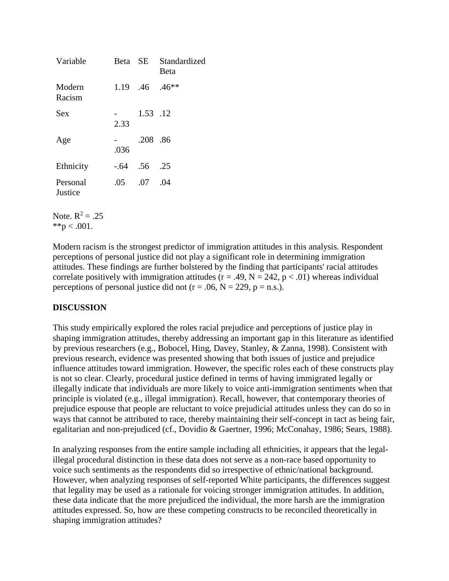| Variable            | Beta     | SE –     | Standardized<br><b>Beta</b> |
|---------------------|----------|----------|-----------------------------|
| Modern<br>Racism    | 1.19 .46 |          | $.46**$                     |
| Sex                 | 2.33     | 1.53 .12 |                             |
| Age                 | .036     | .208.86  |                             |
| Ethnicity           | $-.64$   | .56      | .25                         |
| Personal<br>Justice | .05      | .07      | .04                         |

Note.  $R^2 = .25$  $**p < .001$ .

Modern racism is the strongest predictor of immigration attitudes in this analysis. Respondent perceptions of personal justice did not play a significant role in determining immigration attitudes. These findings are further bolstered by the finding that participants' racial attitudes correlate positively with immigration attitudes ( $r = .49$ ,  $N = 242$ ,  $p < .01$ ) whereas individual perceptions of personal justice did not ( $r = .06$ ,  $N = 229$ ,  $p = n.s$ .).

### **DISCUSSION**

This study empirically explored the roles racial prejudice and perceptions of justice play in shaping immigration attitudes, thereby addressing an important gap in this literature as identified by previous researchers (e.g., Bobocel, Hing, Davey, Stanley, & Zanna, 1998). Consistent with previous research, evidence was presented showing that both issues of justice and prejudice influence attitudes toward immigration. However, the specific roles each of these constructs play is not so clear. Clearly, procedural justice defined in terms of having immigrated legally or illegally indicate that individuals are more likely to voice anti-immigration sentiments when that principle is violated (e.g., illegal immigration). Recall, however, that contemporary theories of prejudice espouse that people are reluctant to voice prejudicial attitudes unless they can do so in ways that cannot be attributed to race, thereby maintaining their self-concept in tact as being fair, egalitarian and non-prejudiced (cf., Dovidio & Gaertner, 1996; McConahay, 1986; Sears, 1988).

In analyzing responses from the entire sample including all ethnicities, it appears that the legalillegal procedural distinction in these data does not serve as a non-race based opportunity to voice such sentiments as the respondents did so irrespective of ethnic/national background. However, when analyzing responses of self-reported White participants, the differences suggest that legality may be used as a rationale for voicing stronger immigration attitudes. In addition, these data indicate that the more prejudiced the individual, the more harsh are the immigration attitudes expressed. So, how are these competing constructs to be reconciled theoretically in shaping immigration attitudes?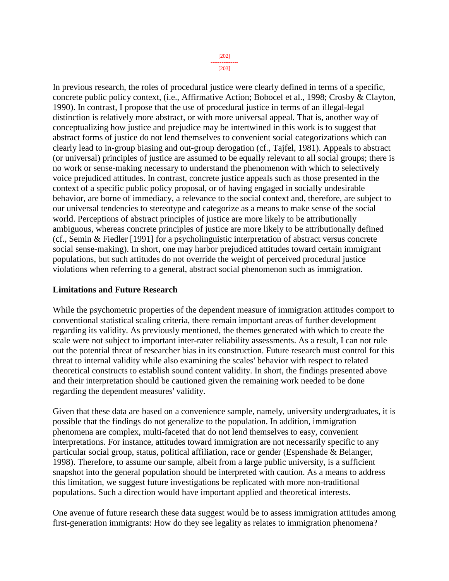[203]

In previous research, the roles of procedural justice were clearly defined in terms of a specific, concrete public policy context, (i.e., Affirmative Action; Bobocel et al., 1998; Crosby & Clayton, 1990). In contrast, I propose that the use of procedural justice in terms of an illegal-legal distinction is relatively more abstract, or with more universal appeal. That is, another way of conceptualizing how justice and prejudice may be intertwined in this work is to suggest that abstract forms of justice do not lend themselves to convenient social categorizations which can clearly lead to in-group biasing and out-group derogation (cf., Tajfel, 1981). Appeals to abstract (or universal) principles of justice are assumed to be equally relevant to all social groups; there is no work or sense-making necessary to understand the phenomenon with which to selectively voice prejudiced attitudes. In contrast, concrete justice appeals such as those presented in the context of a specific public policy proposal, or of having engaged in socially undesirable behavior, are borne of immediacy, a relevance to the social context and, therefore, are subject to our universal tendencies to stereotype and categorize as a means to make sense of the social world. Perceptions of abstract principles of justice are more likely to be attributionally ambiguous, whereas concrete principles of justice are more likely to be attributionally defined (cf., Semin & Fiedler [1991] for a psycholinguistic interpretation of abstract versus concrete social sense-making). In short, one may harbor prejudiced attitudes toward certain immigrant populations, but such attitudes do not override the weight of perceived procedural justice violations when referring to a general, abstract social phenomenon such as immigration.

### **Limitations and Future Research**

While the psychometric properties of the dependent measure of immigration attitudes comport to conventional statistical scaling criteria, there remain important areas of further development regarding its validity. As previously mentioned, the themes generated with which to create the scale were not subject to important inter-rater reliability assessments. As a result, I can not rule out the potential threat of researcher bias in its construction. Future research must control for this threat to internal validity while also examining the scales' behavior with respect to related theoretical constructs to establish sound content validity. In short, the findings presented above and their interpretation should be cautioned given the remaining work needed to be done regarding the dependent measures' validity.

Given that these data are based on a convenience sample, namely, university undergraduates, it is possible that the findings do not generalize to the population. In addition, immigration phenomena are complex, multi-faceted that do not lend themselves to easy, convenient interpretations. For instance, attitudes toward immigration are not necessarily specific to any particular social group, status, political affiliation, race or gender (Espenshade & Belanger, 1998). Therefore, to assume our sample, albeit from a large public university, is a sufficient snapshot into the general population should be interpreted with caution. As a means to address this limitation, we suggest future investigations be replicated with more non-traditional populations. Such a direction would have important applied and theoretical interests.

One avenue of future research these data suggest would be to assess immigration attitudes among first-generation immigrants: How do they see legality as relates to immigration phenomena?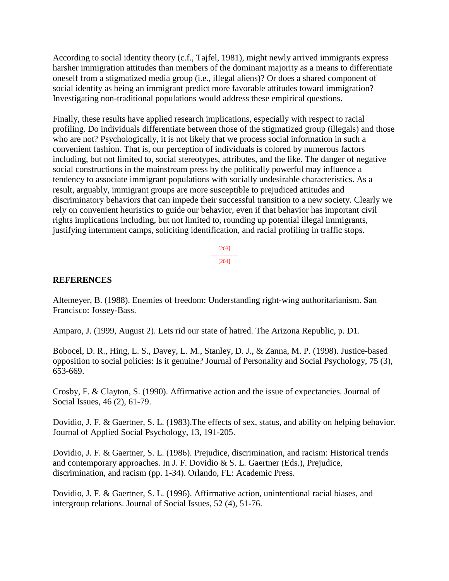According to social identity theory (c.f., Tajfel, 1981), might newly arrived immigrants express harsher immigration attitudes than members of the dominant majority as a means to differentiate oneself from a stigmatized media group (i.e., illegal aliens)? Or does a shared component of social identity as being an immigrant predict more favorable attitudes toward immigration? Investigating non-traditional populations would address these empirical questions.

Finally, these results have applied research implications, especially with respect to racial profiling. Do individuals differentiate between those of the stigmatized group (illegals) and those who are not? Psychologically, it is not likely that we process social information in such a convenient fashion. That is, our perception of individuals is colored by numerous factors including, but not limited to, social stereotypes, attributes, and the like. The danger of negative social constructions in the mainstream press by the politically powerful may influence a tendency to associate immigrant populations with socially undesirable characteristics. As a result, arguably, immigrant groups are more susceptible to prejudiced attitudes and discriminatory behaviors that can impede their successful transition to a new society. Clearly we rely on convenient heuristics to guide our behavior, even if that behavior has important civil rights implications including, but not limited to, rounding up potential illegal immigrants, justifying internment camps, soliciting identification, and racial profiling in traffic stops.

> [203] --------------- [204]

### **REFERENCES**

Altemeyer, B. (1988). Enemies of freedom: Understanding right-wing authoritarianism. San Francisco: Jossey-Bass.

Amparo, J. (1999, August 2). Lets rid our state of hatred. The Arizona Republic, p. D1.

Bobocel, D. R., Hing, L. S., Davey, L. M., Stanley, D. J., & Zanna, M. P. (1998). Justice-based opposition to social policies: Is it genuine? Journal of Personality and Social Psychology, 75 (3), 653-669.

Crosby, F. & Clayton, S. (1990). Affirmative action and the issue of expectancies. Journal of Social Issues, 46 (2), 61-79.

Dovidio, J. F. & Gaertner, S. L. (1983).The effects of sex, status, and ability on helping behavior. Journal of Applied Social Psychology, 13, 191-205.

Dovidio, J. F. & Gaertner, S. L. (1986). Prejudice, discrimination, and racism: Historical trends and contemporary approaches. In J. F. Dovidio & S. L. Gaertner (Eds.), Prejudice, discrimination, and racism (pp. 1-34). Orlando, FL: Academic Press.

Dovidio, J. F. & Gaertner, S. L. (1996). Affirmative action, unintentional racial biases, and intergroup relations. Journal of Social Issues, 52 (4), 51-76.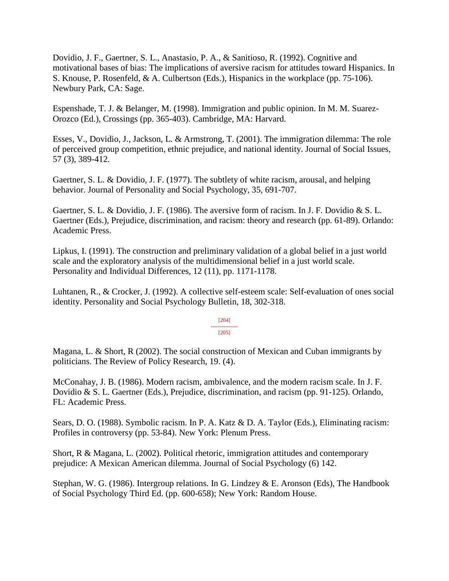Dovidio, J. F., Gaertner, S. L., Anastasio, P. A., & Sanitioso, R. (1992). Cognitive and motivational bases of bias: The implications of aversive racism for attitudes toward Hispanics. In S. Knouse, P. Rosenfeld, & A. Culbertson (Eds.), Hispanics in the workplace (pp. 75-106). Newbury Park, CA: Sage.

Espenshade, T. J. & Belanger, M. (1998). Immigration and public opinion. In M. M. Suarez-Orozco (Ed.), Crossings (pp. 365-403). Cambridge, MA: Harvard.

Esses, V., Dovidio, J., Jackson, L. & Armstrong, T. (2001). The immigration dilemma: The role of perceived group competition, ethnic prejudice, and national identity. Journal of Social Issues, 57 (3), 389-412.

Gaertner, S. L. & Dovidio, J. F. (1977). The subtlety of white racism, arousal, and helping behavior. Journal of Personality and Social Psychology, 35, 691-707.

Gaertner, S. L. & Dovidio, J. F. (1986). The aversive form of racism. In J. F. Dovidio & S. L. Gaertner (Eds.), Prejudice, discrimination, and racism: theory and research (pp. 61-89). Orlando: Academic Press.

Lipkus, I. (1991). The construction and preliminary validation of a global belief in a just world scale and the exploratory analysis of the multidimensional belief in a just world scale. Personality and Individual Differences, 12 (11), pp. 1171-1178.

Luhtanen, R., & Crocker, J. (1992). A collective self-esteem scale: Self-evaluation of ones social identity. Personality and Social Psychology Bulletin, 18, 302-318.

> [204] --------------- [205]

Magana, L. & Short, R (2002). The social construction of Mexican and Cuban immigrants by politicians. The Review of Policy Research, 19. (4).

McConahay, J. B. (1986). Modern racism, ambivalence, and the modern racism scale. In J. F. Dovidio & S. L. Gaertner (Eds.), Prejudice, discrimination, and racism (pp. 91-125). Orlando, FL: Academic Press.

Sears, D. O. (1988). Symbolic racism. In P. A. Katz & D. A. Taylor (Eds.), Eliminating racism: Profiles in controversy (pp. 53-84). New York: Plenum Press.

Short, R & Magana, L. (2002). Political rhetoric, immigration attitudes and contemporary prejudice: A Mexican American dilemma. Journal of Social Psychology (6) 142.

Stephan, W. G. (1986). Intergroup relations. In G. Lindzey & E. Aronson (Eds), The Handbook of Social Psychology Third Ed. (pp. 600-658); New York: Random House.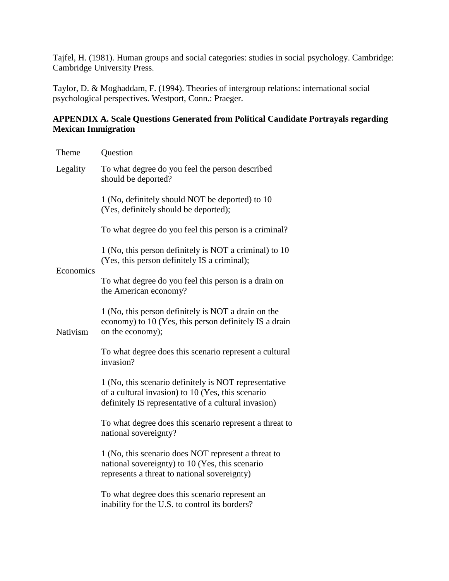Tajfel, H. (1981). Human groups and social categories: studies in social psychology. Cambridge: Cambridge University Press.

Taylor, D. & Moghaddam, F. (1994). Theories of intergroup relations: international social psychological perspectives. Westport, Conn.: Praeger.

### **APPENDIX A. Scale Questions Generated from Political Candidate Portrayals regarding Mexican Immigration**

| Theme     | Question                                                                                                                                                           |  |  |  |  |
|-----------|--------------------------------------------------------------------------------------------------------------------------------------------------------------------|--|--|--|--|
| Legality  | To what degree do you feel the person described<br>should be deported?                                                                                             |  |  |  |  |
|           | 1 (No, definitely should NOT be deported) to 10<br>(Yes, definitely should be deported);                                                                           |  |  |  |  |
|           | To what degree do you feel this person is a criminal?                                                                                                              |  |  |  |  |
|           | 1 (No, this person definitely is NOT a criminal) to 10<br>(Yes, this person definitely IS a criminal);                                                             |  |  |  |  |
| Economics | To what degree do you feel this person is a drain on<br>the American economy?                                                                                      |  |  |  |  |
| Nativism  | 1 (No, this person definitely is NOT a drain on the<br>economy) to 10 (Yes, this person definitely IS a drain<br>on the economy);                                  |  |  |  |  |
|           | To what degree does this scenario represent a cultural<br>invasion?                                                                                                |  |  |  |  |
|           | 1 (No, this scenario definitely is NOT representative<br>of a cultural invasion) to 10 (Yes, this scenario<br>definitely IS representative of a cultural invasion) |  |  |  |  |
|           | To what degree does this scenario represent a threat to<br>national sovereignty?                                                                                   |  |  |  |  |
|           | 1 (No, this scenario does NOT represent a threat to<br>national sovereignty) to 10 (Yes, this scenario<br>represents a threat to national sovereignty)             |  |  |  |  |
|           | To what degree does this scenario represent an<br>inability for the U.S. to control its borders?                                                                   |  |  |  |  |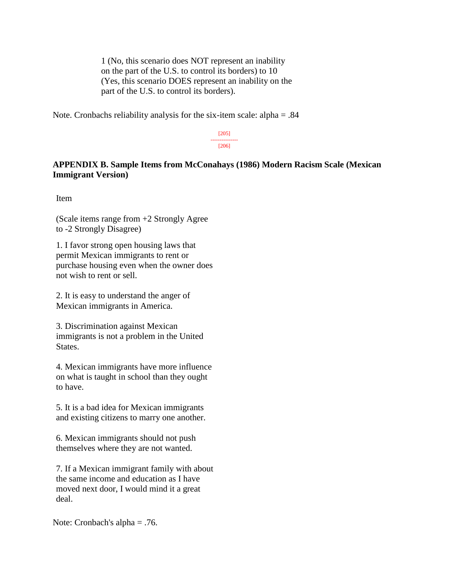1 (No, this scenario does NOT represent an inability on the part of the U.S. to control its borders) to 10 (Yes, this scenario DOES represent an inability on the part of the U.S. to control its borders).

Note. Cronbachs reliability analysis for the six-item scale: alpha = .84

[205] --------------- [206]

### **APPENDIX B. Sample Items from McConahays (1986) Modern Racism Scale (Mexican Immigrant Version)**

Item

(Scale items range from +2 Strongly Agree to -2 Strongly Disagree)

1. I favor strong open housing laws that permit Mexican immigrants to rent or purchase housing even when the owner does not wish to rent or sell.

2. It is easy to understand the anger of Mexican immigrants in America.

3. Discrimination against Mexican immigrants is not a problem in the United States.

4. Mexican immigrants have more influence on what is taught in school than they ought to have.

5. It is a bad idea for Mexican immigrants and existing citizens to marry one another.

6. Mexican immigrants should not push themselves where they are not wanted.

7. If a Mexican immigrant family with about the same income and education as I have moved next door, I would mind it a great deal.

Note: Cronbach's alpha = .76.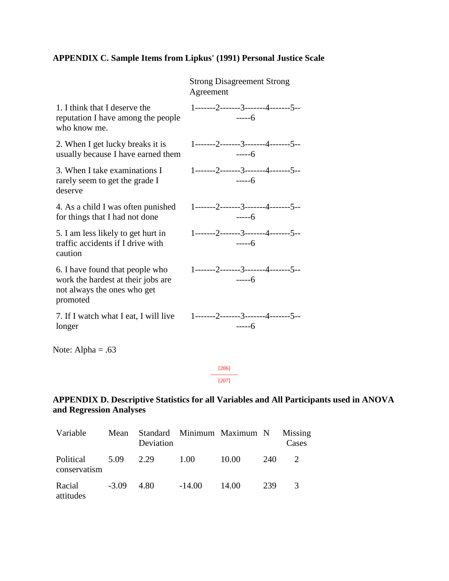## **APPENDIX C. Sample Items from Lipkus' (1991) Personal Justice Scale**

|                                                                                                                  | <b>Strong Disagreement Strong</b><br>Agreement   |
|------------------------------------------------------------------------------------------------------------------|--------------------------------------------------|
| 1. I think that I deserve the<br>reputation I have among the people<br>who know me.                              | $1$ -------2-------3-------4-------5--<br>$---6$ |
| 2. When I get lucky breaks it is<br>usually because I have earned them                                           | 1-------2-------3-------4-------5--<br>$---6$    |
| 3. When I take examinations I<br>rarely seem to get the grade I<br>deserve                                       | $1$ -------2-------3-------4-------5--<br>$---6$ |
| 4. As a child I was often punished<br>for things that I had not done                                             | $1$ -------2-------3-------4-------5--<br>$---6$ |
| 5. I am less likely to get hurt in<br>traffic accidents if I drive with<br>caution                               | $1$ -------2-------3-------4-------5--<br>$---6$ |
| 6. I have found that people who<br>work the hardest at their jobs are<br>not always the ones who get<br>promoted | $1$ -------2-------3-------4-------5--<br>$---6$ |
| 7. If I watch what I eat, I will live 1------2------3-------4--------5--<br>longer                               | $---6$                                           |
| Note: Alpha = $.63$                                                                                              |                                                  |
|                                                                                                                  | [206]                                            |

### **APPENDIX D. Descriptive Statistics for all Variables and All Participants used in ANOVA and Regression Analyses**

--------------- [207]

| Variable                  | Mean    | Deviation |          | Standard Minimum Maximum N Missing |     | Cases |
|---------------------------|---------|-----------|----------|------------------------------------|-----|-------|
| Political<br>conservatism | 5.09    | 2.29      | 1.00     | 10.00                              | 240 |       |
| Racial<br>attitudes       | $-3.09$ | 4.80      | $-14.00$ | 14.00                              | 239 | 3     |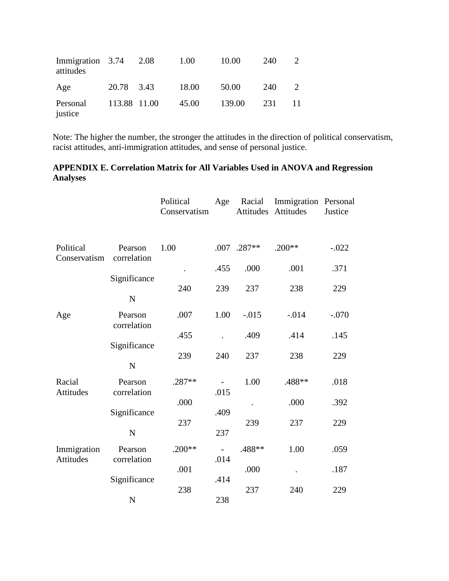| Immigration $3.74$ 2.08<br>attitudes |              | 1.00  | 10.00  | 240 |    |
|--------------------------------------|--------------|-------|--------|-----|----|
| Age                                  | 20.78 3.43   | 18.00 | 50.00  | 240 |    |
| Personal<br>justice                  | 113.88 11.00 | 45.00 | 139.00 | 231 | 11 |

Note: The higher the number, the stronger the attitudes in the direction of political conservatism, racist attitudes, anti-immigration attitudes, and sense of personal justice.

### **APPENDIX E. Correlation Matrix for All Variables Used in ANOVA and Regression Analyses**

|                                 |                        | Political<br>Conservatism | Age                         | Racial<br>Attitudes | Immigration Personal<br>Attitudes | Justice |
|---------------------------------|------------------------|---------------------------|-----------------------------|---------------------|-----------------------------------|---------|
| Political<br>Conservatism       | Pearson<br>correlation | 1.00                      |                             | .007 .287**         | $.200**$                          | $-.022$ |
|                                 |                        |                           | .455                        | .000                | .001                              | .371    |
|                                 | Significance<br>N      | 240                       | 239                         | 237                 | 238                               | 229     |
| Age                             | Pearson<br>correlation | .007                      | 1.00                        | $-.015$             | $-0.014$                          | $-.070$ |
|                                 |                        | .455                      |                             | .409                | .414                              | .145    |
|                                 | Significance<br>N      | 239                       | 240                         | 237                 | 238                               | 229     |
| Racial<br><b>Attitudes</b>      | Pearson<br>correlation | $.287**$                  | $\overline{a}$<br>.015      | 1.00                | .488**                            | .018    |
|                                 |                        | .000                      | .409                        |                     | .000                              | .392    |
|                                 | Significance<br>N      | 237                       | 237                         | 239                 | 237                               | 229     |
| Immigration<br><b>Attitudes</b> | Pearson<br>correlation | $.200**$                  | $\bar{\phantom{a}}$<br>.014 | .488**              | 1.00                              | .059    |
|                                 |                        | .001                      |                             | .000                |                                   | .187    |
|                                 | Significance           | 238                       | .414                        | 237                 | 240                               | 229     |
|                                 | N                      |                           | 238                         |                     |                                   |         |